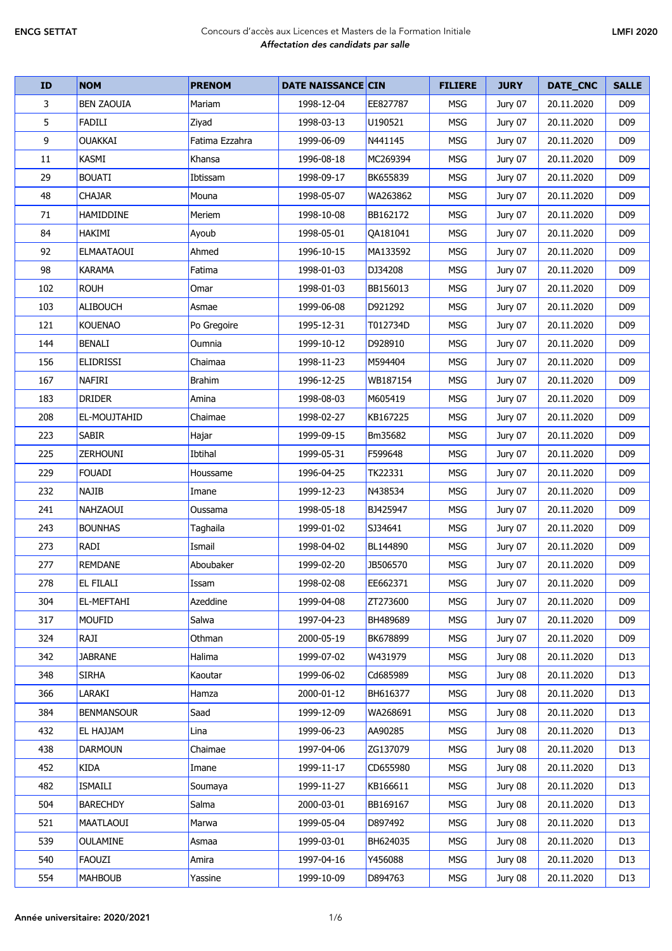| ID  | <b>NOM</b>        | <b>PRENOM</b>  | <b>DATE NAISSANCE CIN</b> |          | <b>FILIERE</b> | <b>JURY</b> | DATE_CNC   | <b>SALLE</b>    |
|-----|-------------------|----------------|---------------------------|----------|----------------|-------------|------------|-----------------|
| 3   | <b>BEN ZAOUIA</b> | Mariam         | 1998-12-04                | EE827787 | <b>MSG</b>     | Jury 07     | 20.11.2020 | D <sub>09</sub> |
| 5   | <b>FADILI</b>     | Ziyad          | 1998-03-13                | U190521  | <b>MSG</b>     | Jury 07     | 20.11.2020 | D <sub>09</sub> |
| 9   | <b>OUAKKAI</b>    | Fatima Ezzahra | 1999-06-09                | N441145  | <b>MSG</b>     | Jury 07     | 20.11.2020 | D <sub>09</sub> |
| 11  | <b>KASMI</b>      | Khansa         | 1996-08-18                | MC269394 | <b>MSG</b>     | Jury 07     | 20.11.2020 | D <sub>09</sub> |
| 29  | <b>BOUATI</b>     | Ibtissam       | 1998-09-17                | BK655839 | <b>MSG</b>     | Jury 07     | 20.11.2020 | D <sub>09</sub> |
| 48  | <b>CHAJAR</b>     | Mouna          | 1998-05-07                | WA263862 | <b>MSG</b>     | Jury 07     | 20.11.2020 | D <sub>09</sub> |
| 71  | HAMIDDINE         | Meriem         | 1998-10-08                | BB162172 | <b>MSG</b>     | Jury 07     | 20.11.2020 | D <sub>09</sub> |
| 84  | HAKIMI            | Ayoub          | 1998-05-01                | QA181041 | <b>MSG</b>     | Jury 07     | 20.11.2020 | D <sub>09</sub> |
| 92  | <b>ELMAATAOUI</b> | Ahmed          | 1996-10-15                | MA133592 | MSG            | Jury 07     | 20.11.2020 | D <sub>09</sub> |
| 98  | <b>KARAMA</b>     | Fatima         | 1998-01-03                | DJ34208  | <b>MSG</b>     | Jury 07     | 20.11.2020 | D <sub>09</sub> |
| 102 | <b>ROUH</b>       | Omar           | 1998-01-03                | BB156013 | <b>MSG</b>     | Jury 07     | 20.11.2020 | D <sub>09</sub> |
| 103 | <b>ALIBOUCH</b>   | Asmae          | 1999-06-08                | D921292  | MSG            | Jury 07     | 20.11.2020 | D <sub>09</sub> |
| 121 | <b>KOUENAO</b>    | Po Gregoire    | 1995-12-31                | T012734D | <b>MSG</b>     | Jury 07     | 20.11.2020 | D <sub>09</sub> |
| 144 | <b>BENALI</b>     | Oumnia         | 1999-10-12                | D928910  | <b>MSG</b>     | Jury 07     | 20.11.2020 | D <sub>09</sub> |
| 156 | <b>ELIDRISSI</b>  | Chaimaa        | 1998-11-23                | M594404  | <b>MSG</b>     | Jury 07     | 20.11.2020 | D <sub>09</sub> |
| 167 | <b>NAFIRI</b>     | <b>Brahim</b>  | 1996-12-25                | WB187154 | <b>MSG</b>     | Jury 07     | 20.11.2020 | D <sub>09</sub> |
| 183 | <b>DRIDER</b>     | Amina          | 1998-08-03                | M605419  | <b>MSG</b>     | Jury 07     | 20.11.2020 | D <sub>09</sub> |
| 208 | EL-MOUJTAHID      | Chaimae        | 1998-02-27                | KB167225 | <b>MSG</b>     | Jury 07     | 20.11.2020 | D <sub>09</sub> |
| 223 | <b>SABIR</b>      | Hajar          | 1999-09-15                | Bm35682  | <b>MSG</b>     | Jury 07     | 20.11.2020 | D <sub>09</sub> |
| 225 | <b>ZERHOUNI</b>   | Ibtihal        | 1999-05-31                | F599648  | MSG            | Jury 07     | 20.11.2020 | D <sub>09</sub> |
| 229 | <b>FOUADI</b>     | Houssame       | 1996-04-25                | TK22331  | <b>MSG</b>     | Jury 07     | 20.11.2020 | D <sub>09</sub> |
| 232 | <b>NAJIB</b>      | Imane          | 1999-12-23                | N438534  | <b>MSG</b>     | Jury 07     | 20.11.2020 | D <sub>09</sub> |
| 241 | <b>NAHZAOUI</b>   | Oussama        | 1998-05-18                | BJ425947 | <b>MSG</b>     | Jury 07     | 20.11.2020 | D <sub>09</sub> |
| 243 | <b>BOUNHAS</b>    | Taghaila       | 1999-01-02                | SJ34641  | <b>MSG</b>     | Jury 07     | 20.11.2020 | D <sub>09</sub> |
| 273 | RADI              | Ismail         | 1998-04-02                | BL144890 | <b>MSG</b>     | Jury 07     | 20.11.2020 | D <sub>09</sub> |
| 277 | <b>REMDANE</b>    | Aboubaker      | 1999-02-20                | JB506570 | <b>MSG</b>     | Jury 07     | 20.11.2020 | D <sub>09</sub> |
| 278 | <b>EL FILALI</b>  | Issam          | 1998-02-08                | EE662371 | MSG            | Jury 07     | 20.11.2020 | D <sub>09</sub> |
| 304 | EL-MEFTAHI        | Azeddine       | 1999-04-08                | ZT273600 | <b>MSG</b>     | Jury 07     | 20.11.2020 | D <sub>09</sub> |
| 317 | <b>MOUFID</b>     | Salwa          | 1997-04-23                | BH489689 | <b>MSG</b>     | Jury 07     | 20.11.2020 | D <sub>09</sub> |
| 324 | RAJI              | Othman         | 2000-05-19                | BK678899 | MSG            | Jury 07     | 20.11.2020 | D <sub>09</sub> |
| 342 | <b>JABRANE</b>    | Halima         | 1999-07-02                | W431979  | MSG            | Jury 08     | 20.11.2020 | D13             |
| 348 | <b>SIRHA</b>      | Kaoutar        | 1999-06-02                | Cd685989 | <b>MSG</b>     | Jury 08     | 20.11.2020 | D13             |
| 366 | LARAKI            | Hamza          | 2000-01-12                | BH616377 | MSG            | Jury 08     | 20.11.2020 | D13             |
| 384 | <b>BENMANSOUR</b> | Saad           | 1999-12-09                | WA268691 | MSG            | Jury 08     | 20.11.2020 | D13             |
| 432 | EL HAJJAM         | Lina           | 1999-06-23                | AA90285  | MSG            | Jury 08     | 20.11.2020 | D13             |
| 438 | <b>DARMOUN</b>    | Chaimae        | 1997-04-06                | ZG137079 | MSG            | Jury 08     | 20.11.2020 | D13             |
| 452 | KIDA              | Imane          | 1999-11-17                | CD655980 | MSG            | Jury 08     | 20.11.2020 | D13             |
| 482 | ISMAILI           | Soumaya        | 1999-11-27                | KB166611 | MSG            | Jury 08     | 20.11.2020 | D13             |
| 504 | <b>BARECHDY</b>   | Salma          | 2000-03-01                | BB169167 | <b>MSG</b>     | Jury 08     | 20.11.2020 | D13             |
| 521 | MAATLAOUI         | Marwa          | 1999-05-04                | D897492  | <b>MSG</b>     | Jury 08     | 20.11.2020 | D13             |
| 539 | <b>OULAMINE</b>   | Asmaa          | 1999-03-01                | BH624035 | MSG            | Jury 08     | 20.11.2020 | D13             |
| 540 | FAOUZI            | Amira          | 1997-04-16                | Y456088  | <b>MSG</b>     | Jury 08     | 20.11.2020 | D13             |
| 554 | <b>MAHBOUB</b>    | Yassine        | 1999-10-09                | D894763  | <b>MSG</b>     | Jury 08     | 20.11.2020 | D13             |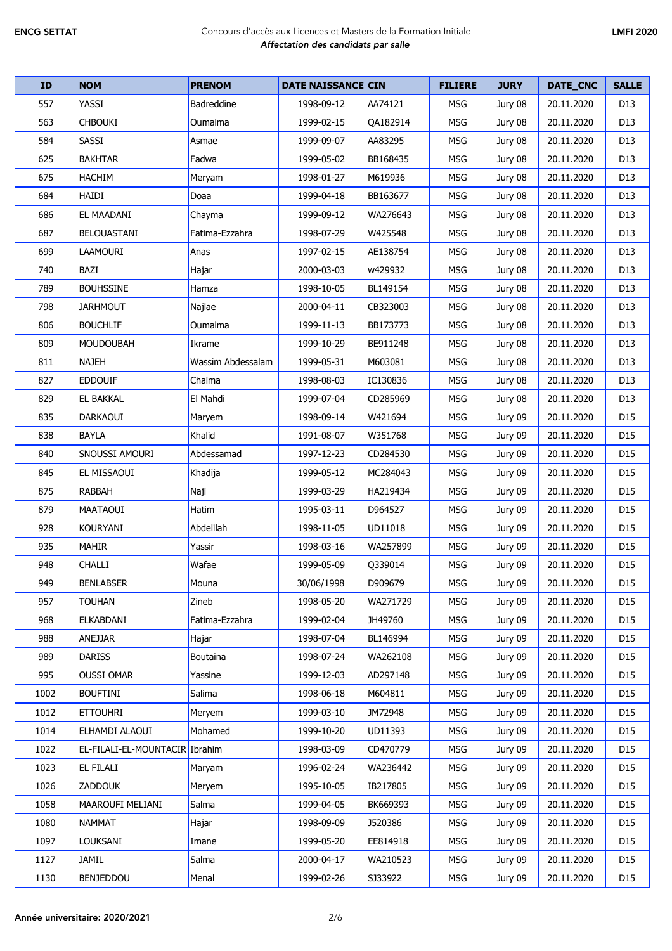| ID   | <b>NOM</b>                     | <b>PRENOM</b>     | <b>DATE NAISSANCE CIN</b> |          | <b>FILIERE</b> | <b>JURY</b> | DATE_CNC   | <b>SALLE</b>    |
|------|--------------------------------|-------------------|---------------------------|----------|----------------|-------------|------------|-----------------|
| 557  | YASSI                          | <b>Badreddine</b> | 1998-09-12                | AA74121  | <b>MSG</b>     | Jury 08     | 20.11.2020 | D13             |
| 563  | <b>CHBOUKI</b>                 | Oumaima           | 1999-02-15                | QA182914 | <b>MSG</b>     | Jury 08     | 20.11.2020 | D13             |
| 584  | SASSI                          | Asmae             | 1999-09-07                | AA83295  | <b>MSG</b>     | Jury 08     | 20.11.2020 | D13             |
| 625  | <b>BAKHTAR</b>                 | Fadwa             | 1999-05-02                | BB168435 | <b>MSG</b>     | Jury 08     | 20.11.2020 | D13             |
| 675  | <b>HACHIM</b>                  | Meryam            | 1998-01-27                | M619936  | <b>MSG</b>     | Jury 08     | 20.11.2020 | D13             |
| 684  | <b>HAIDI</b>                   | Doaa              | 1999-04-18                | BB163677 | <b>MSG</b>     | Jury 08     | 20.11.2020 | D <sub>13</sub> |
| 686  | EL MAADANI                     | Chayma            | 1999-09-12                | WA276643 | <b>MSG</b>     | Jury 08     | 20.11.2020 | D <sub>13</sub> |
| 687  | <b>BELOUASTANI</b>             | Fatima-Ezzahra    | 1998-07-29                | W425548  | <b>MSG</b>     | Jury 08     | 20.11.2020 | D13             |
| 699  | <b>LAAMOURI</b>                | Anas              | 1997-02-15                | AE138754 | <b>MSG</b>     | Jury 08     | 20.11.2020 | D <sub>13</sub> |
| 740  | BAZI                           | Hajar             | 2000-03-03                | w429932  | <b>MSG</b>     | Jury 08     | 20.11.2020 | D <sub>13</sub> |
| 789  | <b>BOUHSSINE</b>               | Hamza             | 1998-10-05                | BL149154 | <b>MSG</b>     | Jury 08     | 20.11.2020 | D <sub>13</sub> |
| 798  | <b>JARHMOUT</b>                | Najlae            | 2000-04-11                | CB323003 | <b>MSG</b>     | Jury 08     | 20.11.2020 | D13             |
| 806  | <b>BOUCHLIF</b>                | Oumaima           | 1999-11-13                | BB173773 | <b>MSG</b>     | Jury 08     | 20.11.2020 | D13             |
| 809  | <b>MOUDOUBAH</b>               | Ikrame            | 1999-10-29                | BE911248 | <b>MSG</b>     | Jury 08     | 20.11.2020 | D13             |
| 811  | <b>NAJEH</b>                   | Wassim Abdessalam | 1999-05-31                | M603081  | <b>MSG</b>     | Jury 08     | 20.11.2020 | D13             |
| 827  | <b>EDDOUIF</b>                 | Chaima            | 1998-08-03                | IC130836 | <b>MSG</b>     | Jury 08     | 20.11.2020 | D13             |
| 829  | <b>EL BAKKAL</b>               | El Mahdi          | 1999-07-04                | CD285969 | <b>MSG</b>     | Jury 08     | 20.11.2020 | D <sub>13</sub> |
| 835  | <b>DARKAOUI</b>                | Maryem            | 1998-09-14                | W421694  | <b>MSG</b>     | Jury 09     | 20.11.2020 | D15             |
| 838  | <b>BAYLA</b>                   | Khalid            | 1991-08-07                | W351768  | <b>MSG</b>     | Jury 09     | 20.11.2020 | D15             |
| 840  | SNOUSSI AMOURI                 | Abdessamad        | 1997-12-23                | CD284530 | <b>MSG</b>     | Jury 09     | 20.11.2020 | D <sub>15</sub> |
| 845  | EL MISSAOUI                    | Khadija           | 1999-05-12                | MC284043 | <b>MSG</b>     | Jury 09     | 20.11.2020 | D15             |
| 875  | <b>RABBAH</b>                  | Naji              | 1999-03-29                | HA219434 | <b>MSG</b>     | Jury 09     | 20.11.2020 | D <sub>15</sub> |
| 879  | <b>MAATAOUI</b>                | Hatim             | 1995-03-11                | D964527  | <b>MSG</b>     | Jury 09     | 20.11.2020 | D15             |
| 928  | <b>KOURYANI</b>                | Abdelilah         | 1998-11-05                | UD11018  | <b>MSG</b>     | Jury 09     | 20.11.2020 | D15             |
| 935  | <b>MAHIR</b>                   | Yassir            | 1998-03-16                | WA257899 | <b>MSG</b>     | Jury 09     | 20.11.2020 | D15             |
| 948  | CHALLI                         | Wafae             | 1999-05-09                | Q339014  | <b>MSG</b>     | Jury 09     | 20.11.2020 | D <sub>15</sub> |
| 949  | <b>BENLABSER</b>               | Mouna             | 30/06/1998                | D909679  | <b>MSG</b>     | Jury 09     | 20.11.2020 | D15             |
| 957  | <b>TOUHAN</b>                  | Zineb             | 1998-05-20                | WA271729 | <b>MSG</b>     | Jury 09     | 20.11.2020 | D15             |
| 968  | ELKABDANI                      | Fatima-Ezzahra    | 1999-02-04                | JH49760  | <b>MSG</b>     | Jury 09     | 20.11.2020 | D <sub>15</sub> |
| 988  | ANEJJAR                        | Hajar             | 1998-07-04                | BL146994 | <b>MSG</b>     | Jury 09     | 20.11.2020 | D <sub>15</sub> |
| 989  | <b>DARISS</b>                  | Boutaina          | 1998-07-24                | WA262108 | <b>MSG</b>     | Jury 09     | 20.11.2020 | D15             |
| 995  | <b>OUSSI OMAR</b>              | Yassine           | 1999-12-03                | AD297148 | MSG            | Jury 09     | 20.11.2020 | D <sub>15</sub> |
| 1002 | <b>BOUFTINI</b>                | Salima            | 1998-06-18                | M604811  | MSG            | Jury 09     | 20.11.2020 | D <sub>15</sub> |
| 1012 | <b>ETTOUHRI</b>                | Meryem            | 1999-03-10                | JM72948  | MSG            | Jury 09     | 20.11.2020 | D15             |
| 1014 | ELHAMDI ALAOUI                 | Mohamed           | 1999-10-20                | UD11393  | MSG            | Jury 09     | 20.11.2020 | D <sub>15</sub> |
| 1022 | EL-FILALI-EL-MOUNTACIR Ibrahim |                   | 1998-03-09                | CD470779 | MSG            | Jury 09     | 20.11.2020 | D <sub>15</sub> |
| 1023 | <b>EL FILALI</b>               | Maryam            | 1996-02-24                | WA236442 | <b>MSG</b>     | Jury 09     | 20.11.2020 | D15             |
| 1026 | <b>ZADDOUK</b>                 | Meryem            | 1995-10-05                | IB217805 | MSG            | Jury 09     | 20.11.2020 | D <sub>15</sub> |
| 1058 | MAAROUFI MELIANI               | Salma             | 1999-04-05                | BK669393 | <b>MSG</b>     | Jury 09     | 20.11.2020 | D15             |
| 1080 | <b>NAMMAT</b>                  | Hajar             | 1998-09-09                | J520386  | MSG            | Jury 09     | 20.11.2020 | D15             |
| 1097 | LOUKSANI                       | Imane             | 1999-05-20                | EE814918 | MSG            | Jury 09     | 20.11.2020 | D <sub>15</sub> |
| 1127 | <b>JAMIL</b>                   | Salma             | 2000-04-17                | WA210523 | MSG            | Jury 09     | 20.11.2020 | D <sub>15</sub> |
| 1130 | <b>BENJEDDOU</b>               | Menal             | 1999-02-26                | SJ33922  | MSG            | Jury 09     | 20.11.2020 | D15             |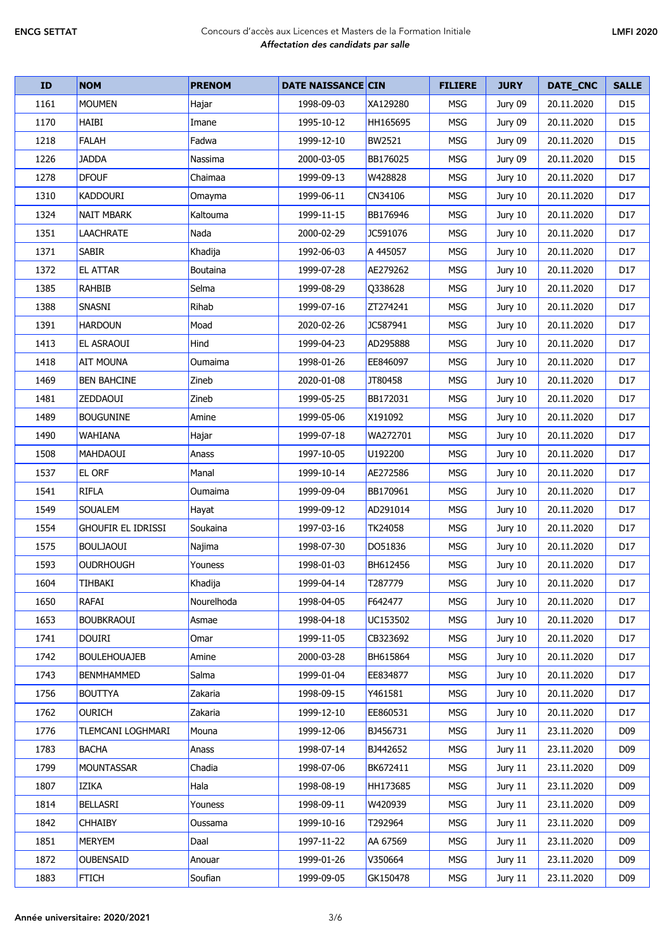| ID   | <b>NOM</b>                | <b>PRENOM</b> | <b>DATE NAISSANCE CIN</b> |          | <b>FILIERE</b> | <b>JURY</b> | DATE_CNC   | <b>SALLE</b>    |
|------|---------------------------|---------------|---------------------------|----------|----------------|-------------|------------|-----------------|
| 1161 | <b>MOUMEN</b>             | Hajar         | 1998-09-03                | XA129280 | <b>MSG</b>     | Jury 09     | 20.11.2020 | D15             |
| 1170 | <b>HAIBI</b>              | Imane         | 1995-10-12                | HH165695 | <b>MSG</b>     | Jury 09     | 20.11.2020 | D <sub>15</sub> |
| 1218 | <b>FALAH</b>              | Fadwa         | 1999-12-10                | BW2521   | <b>MSG</b>     | Jury 09     | 20.11.2020 | D15             |
| 1226 | <b>JADDA</b>              | Nassima       | 2000-03-05                | BB176025 | <b>MSG</b>     | Jury 09     | 20.11.2020 | D15             |
| 1278 | <b>DFOUF</b>              | Chaimaa       | 1999-09-13                | W428828  | <b>MSG</b>     | Jury 10     | 20.11.2020 | D17             |
| 1310 | <b>KADDOURI</b>           | Omayma        | 1999-06-11                | CN34106  | <b>MSG</b>     | Jury 10     | 20.11.2020 | D17             |
| 1324 | <b>NAIT MBARK</b>         | Kaltouma      | 1999-11-15                | BB176946 | <b>MSG</b>     | Jury 10     | 20.11.2020 | D17             |
| 1351 | <b>LAACHRATE</b>          | Nada          | 2000-02-29                | JC591076 | <b>MSG</b>     | Jury 10     | 20.11.2020 | D17             |
| 1371 | <b>SABIR</b>              | Khadija       | 1992-06-03                | A 445057 | <b>MSG</b>     | Jury 10     | 20.11.2020 | D17             |
| 1372 | <b>EL ATTAR</b>           | Boutaina      | 1999-07-28                | AE279262 | <b>MSG</b>     | Jury 10     | 20.11.2020 | D17             |
| 1385 | <b>RAHBIB</b>             | Selma         | 1999-08-29                | Q338628  | <b>MSG</b>     | Jury 10     | 20.11.2020 | D17             |
| 1388 | SNASNI                    | Rihab         | 1999-07-16                | ZT274241 | <b>MSG</b>     | Jury 10     | 20.11.2020 | D17             |
| 1391 | <b>HARDOUN</b>            | Moad          | 2020-02-26                | JC587941 | MSG            | Jury 10     | 20.11.2020 | D17             |
| 1413 | EL ASRAOUI                | Hind          | 1999-04-23                | AD295888 | <b>MSG</b>     | Jury 10     | 20.11.2020 | D17             |
| 1418 | <b>AIT MOUNA</b>          | Oumaima       | 1998-01-26                | EE846097 | <b>MSG</b>     | Jury 10     | 20.11.2020 | D17             |
| 1469 | <b>BEN BAHCINE</b>        | Zineb         | 2020-01-08                | JT80458  | <b>MSG</b>     | Jury 10     | 20.11.2020 | D17             |
| 1481 | <b>ZEDDAOUI</b>           | Zineb         | 1999-05-25                | BB172031 | <b>MSG</b>     | Jury 10     | 20.11.2020 | D17             |
| 1489 | <b>BOUGUNINE</b>          | Amine         | 1999-05-06                | X191092  | <b>MSG</b>     | Jury 10     | 20.11.2020 | D17             |
| 1490 | <b>WAHIANA</b>            | Hajar         | 1999-07-18                | WA272701 | <b>MSG</b>     | Jury 10     | 20.11.2020 | D17             |
| 1508 | <b>MAHDAOUI</b>           | Anass         | 1997-10-05                | U192200  | <b>MSG</b>     | Jury 10     | 20.11.2020 | D17             |
| 1537 | <b>EL ORF</b>             | Manal         | 1999-10-14                | AE272586 | <b>MSG</b>     | Jury 10     | 20.11.2020 | D17             |
| 1541 | <b>RIFLA</b>              | Oumaima       | 1999-09-04                | BB170961 | MSG            | Jury 10     | 20.11.2020 | D17             |
| 1549 | <b>SOUALEM</b>            | Hayat         | 1999-09-12                | AD291014 | <b>MSG</b>     | Jury 10     | 20.11.2020 | D17             |
| 1554 | <b>GHOUFIR EL IDRISSI</b> | Soukaina      | 1997-03-16                | TK24058  | <b>MSG</b>     | Jury 10     | 20.11.2020 | D17             |
| 1575 | <b>BOULJAOUI</b>          | Najima        | 1998-07-30                | DO51836  | <b>MSG</b>     | Jury 10     | 20.11.2020 | D17             |
| 1593 | <b>OUDRHOUGH</b>          | Youness       | 1998-01-03                | BH612456 | <b>MSG</b>     | Jury 10     | 20.11.2020 | D <sub>17</sub> |
| 1604 | TIHBAKI                   | Khadija       | 1999-04-14                | T287779  | <b>MSG</b>     | Jury 10     | 20.11.2020 | D17             |
| 1650 | RAFAI                     | Nourelhoda    | 1998-04-05                | F642477  | <b>MSG</b>     | Jury 10     | 20.11.2020 | D17             |
| 1653 | <b>BOUBKRAOUI</b>         | Asmae         | 1998-04-18                | UC153502 | MSG            | Jury 10     | 20.11.2020 | D17             |
| 1741 | <b>DOUIRI</b>             | Omar          | 1999-11-05                | CB323692 | MSG            | Jury 10     | 20.11.2020 | D17             |
| 1742 | <b>BOULEHOUAJEB</b>       | Amine         | 2000-03-28                | BH615864 | MSG            | Jury 10     | 20.11.2020 | D17             |
| 1743 | BENMHAMMED                | Salma         | 1999-01-04                | EE834877 | <b>MSG</b>     | Jury 10     | 20.11.2020 | D17             |
| 1756 | <b>BOUTTYA</b>            | Zakaria       | 1998-09-15                | Y461581  | <b>MSG</b>     | Jury 10     | 20.11.2020 | D17             |
| 1762 | <b>OURICH</b>             | Zakaria       | 1999-12-10                | EE860531 | MSG            | Jury 10     | 20.11.2020 | D17             |
| 1776 | TLEMCANI LOGHMARI         | Mouna         | 1999-12-06                | BJ456731 | <b>MSG</b>     | Jury 11     | 23.11.2020 | D <sub>09</sub> |
| 1783 | <b>BACHA</b>              | Anass         | 1998-07-14                | BJ442652 | <b>MSG</b>     | Jury 11     | 23.11.2020 | D <sub>09</sub> |
| 1799 | <b>MOUNTASSAR</b>         | Chadia        | 1998-07-06                | BK672411 | MSG            | Jury 11     | 23.11.2020 | D <sub>09</sub> |
| 1807 | <b>IZIKA</b>              | Hala          | 1998-08-19                | HH173685 | MSG            | Jury 11     | 23.11.2020 | D <sub>09</sub> |
| 1814 | <b>BELLASRI</b>           | Youness       | 1998-09-11                | W420939  | <b>MSG</b>     | Jury 11     | 23.11.2020 | D <sub>09</sub> |
| 1842 | <b>CHHAIBY</b>            | Oussama       | 1999-10-16                | T292964  | <b>MSG</b>     | Jury 11     | 23.11.2020 | D <sub>09</sub> |
| 1851 | <b>MERYEM</b>             | Daal          | 1997-11-22                | AA 67569 | MSG            | Jury 11     | 23.11.2020 | D <sub>09</sub> |
| 1872 | <b>OUBENSAID</b>          | Anouar        | 1999-01-26                | V350664  | <b>MSG</b>     | Jury 11     | 23.11.2020 | D <sub>09</sub> |
| 1883 | <b>FTICH</b>              | Soufian       | 1999-09-05                | GK150478 | MSG            | Jury 11     | 23.11.2020 | D09             |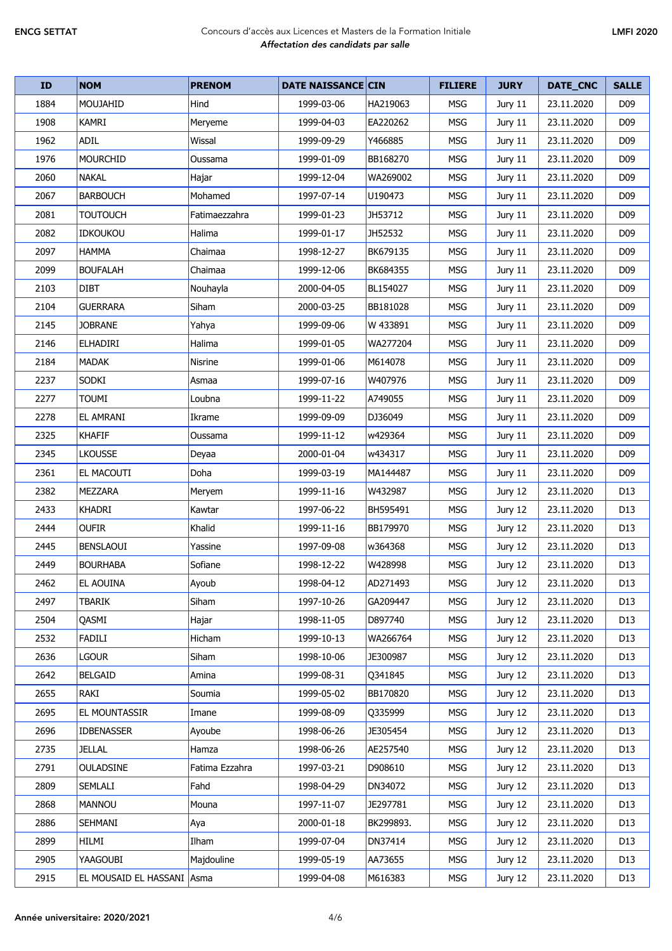| ID   | <b>NOM</b>                 | <b>PRENOM</b>  | <b>DATE NAISSANCE CIN</b> |           | <b>FILIERE</b> | <b>JURY</b> | DATE_CNC   | <b>SALLE</b>    |
|------|----------------------------|----------------|---------------------------|-----------|----------------|-------------|------------|-----------------|
| 1884 | MOUJAHID                   | Hind           | 1999-03-06                | HA219063  | <b>MSG</b>     | Jury 11     | 23.11.2020 | D <sub>09</sub> |
| 1908 | KAMRI                      | Meryeme        | 1999-04-03                | EA220262  | <b>MSG</b>     | Jury 11     | 23.11.2020 | D <sub>09</sub> |
| 1962 | <b>ADIL</b>                | Wissal         | 1999-09-29                | Y466885   | <b>MSG</b>     | Jury 11     | 23.11.2020 | D <sub>09</sub> |
| 1976 | <b>MOURCHID</b>            | Oussama        | 1999-01-09                | BB168270  | <b>MSG</b>     | Jury 11     | 23.11.2020 | D <sub>09</sub> |
| 2060 | <b>NAKAL</b>               | Hajar          | 1999-12-04                | WA269002  | <b>MSG</b>     | Jury 11     | 23.11.2020 | D <sub>09</sub> |
| 2067 | <b>BARBOUCH</b>            | Mohamed        | 1997-07-14                | U190473   | <b>MSG</b>     | Jury 11     | 23.11.2020 | D <sub>09</sub> |
| 2081 | <b>TOUTOUCH</b>            | Fatimaezzahra  | 1999-01-23                | JH53712   | <b>MSG</b>     | Jury 11     | 23.11.2020 | D <sub>09</sub> |
| 2082 | <b>IDKOUKOU</b>            | Halima         | 1999-01-17                | JH52532   | <b>MSG</b>     | Jury 11     | 23.11.2020 | D <sub>09</sub> |
| 2097 | <b>HAMMA</b>               | Chaimaa        | 1998-12-27                | BK679135  | MSG            | Jury 11     | 23.11.2020 | D <sub>09</sub> |
| 2099 | <b>BOUFALAH</b>            | Chaimaa        | 1999-12-06                | BK684355  | <b>MSG</b>     | Jury 11     | 23.11.2020 | D <sub>09</sub> |
| 2103 | <b>DIBT</b>                | Nouhayla       | 2000-04-05                | BL154027  | <b>MSG</b>     | Jury 11     | 23.11.2020 | D <sub>09</sub> |
| 2104 | <b>GUERRARA</b>            | Siham          | 2000-03-25                | BB181028  | MSG            | Jury 11     | 23.11.2020 | D <sub>09</sub> |
| 2145 | <b>JOBRANE</b>             | Yahya          | 1999-09-06                | W 433891  | <b>MSG</b>     | Jury 11     | 23.11.2020 | D <sub>09</sub> |
| 2146 | <b>ELHADIRI</b>            | Halima         | 1999-01-05                | WA277204  | <b>MSG</b>     | Jury 11     | 23.11.2020 | D <sub>09</sub> |
| 2184 | <b>MADAK</b>               | Nisrine        | 1999-01-06                | M614078   | <b>MSG</b>     | Jury 11     | 23.11.2020 | D <sub>09</sub> |
| 2237 | SODKI                      | Asmaa          | 1999-07-16                | W407976   | <b>MSG</b>     | Jury 11     | 23.11.2020 | D <sub>09</sub> |
| 2277 | TOUMI                      | Loubna         | 1999-11-22                | A749055   | <b>MSG</b>     | Jury 11     | 23.11.2020 | D <sub>09</sub> |
| 2278 | <b>EL AMRANI</b>           | Ikrame         | 1999-09-09                | DJ36049   | <b>MSG</b>     | Jury 11     | 23.11.2020 | D <sub>09</sub> |
| 2325 | <b>KHAFIF</b>              | Oussama        | 1999-11-12                | w429364   | <b>MSG</b>     | Jury 11     | 23.11.2020 | D <sub>09</sub> |
| 2345 | <b>LKOUSSE</b>             | Deyaa          | 2000-01-04                | w434317   | MSG            | Jury 11     | 23.11.2020 | D <sub>09</sub> |
| 2361 | <b>EL MACOUTI</b>          | Doha           | 1999-03-19                | MA144487  | <b>MSG</b>     | Jury 11     | 23.11.2020 | D <sub>09</sub> |
| 2382 | <b>MEZZARA</b>             | Meryem         | 1999-11-16                | W432987   | <b>MSG</b>     | Jury 12     | 23.11.2020 | D <sub>13</sub> |
| 2433 | KHADRI                     | Kawtar         | 1997-06-22                | BH595491  | <b>MSG</b>     | Jury 12     | 23.11.2020 | D <sub>13</sub> |
| 2444 | <b>OUFIR</b>               | Khalid         | 1999-11-16                | BB179970  | <b>MSG</b>     | Jury 12     | 23.11.2020 | D <sub>13</sub> |
| 2445 | <b>BENSLAOUI</b>           | Yassine        | 1997-09-08                | w364368   | <b>MSG</b>     | Jury 12     | 23.11.2020 | D <sub>13</sub> |
| 2449 | <b>BOURHABA</b>            | Sofiane        | 1998-12-22                | W428998   | <b>MSG</b>     | Jury 12     | 23.11.2020 | D13             |
| 2462 | <b>EL AOUINA</b>           | Ayoub          | 1998-04-12                | AD271493  | MSG            | Jury 12     | 23.11.2020 | D13             |
| 2497 | <b>TBARIK</b>              | Siham          | 1997-10-26                | GA209447  | <b>MSG</b>     | Jury 12     | 23.11.2020 | D13             |
| 2504 | QASMI                      | Hajar          | 1998-11-05                | D897740   | <b>MSG</b>     | Jury 12     | 23.11.2020 | D13             |
| 2532 | FADILI                     | Hicham         | 1999-10-13                | WA266764  | MSG            | Jury 12     | 23.11.2020 | D13             |
| 2636 | lgour                      | Siham          | 1998-10-06                | JE300987  | MSG            | Jury 12     | 23.11.2020 | D13             |
| 2642 | <b>BELGAID</b>             | Amina          | 1999-08-31                | Q341845   | <b>MSG</b>     | Jury 12     | 23.11.2020 | D13             |
| 2655 | RAKI                       | Soumia         | 1999-05-02                | BB170820  | MSG            | Jury 12     | 23.11.2020 | D13             |
| 2695 | <b>EL MOUNTASSIR</b>       | Imane          | 1999-08-09                | Q335999   | MSG            | Jury 12     | 23.11.2020 | D13             |
| 2696 | <b>IDBENASSER</b>          | Ayoube         | 1998-06-26                | JE305454  | MSG            | Jury 12     | 23.11.2020 | D13             |
| 2735 | <b>JELLAL</b>              | Hamza          | 1998-06-26                | AE257540  | MSG            | Jury 12     | 23.11.2020 | D <sub>13</sub> |
| 2791 | <b>OULADSINE</b>           | Fatima Ezzahra | 1997-03-21                | D908610   | MSG            | Jury 12     | 23.11.2020 | D13             |
| 2809 | <b>SEMLALI</b>             | Fahd           | 1998-04-29                | DN34072   | MSG            | Jury 12     | 23.11.2020 | D13             |
| 2868 | <b>MANNOU</b>              | Mouna          | 1997-11-07                | JE297781  | MSG            | Jury 12     | 23.11.2020 | D13             |
| 2886 | SEHMANI                    | Aya            | 2000-01-18                | BK299893. | <b>MSG</b>     | Jury 12     | 23.11.2020 | D13             |
| 2899 | <b>HILMI</b>               | Ilham          | 1999-07-04                | DN37414   | <b>MSG</b>     | Jury 12     | 23.11.2020 | D13             |
| 2905 | YAAGOUBI                   | Majdouline     | 1999-05-19                | AA73655   | MSG            | Jury 12     | 23.11.2020 | D13             |
| 2915 | EL MOUSAID EL HASSANI Asma |                | 1999-04-08                | M616383   | MSG            | Jury 12     | 23.11.2020 | D13             |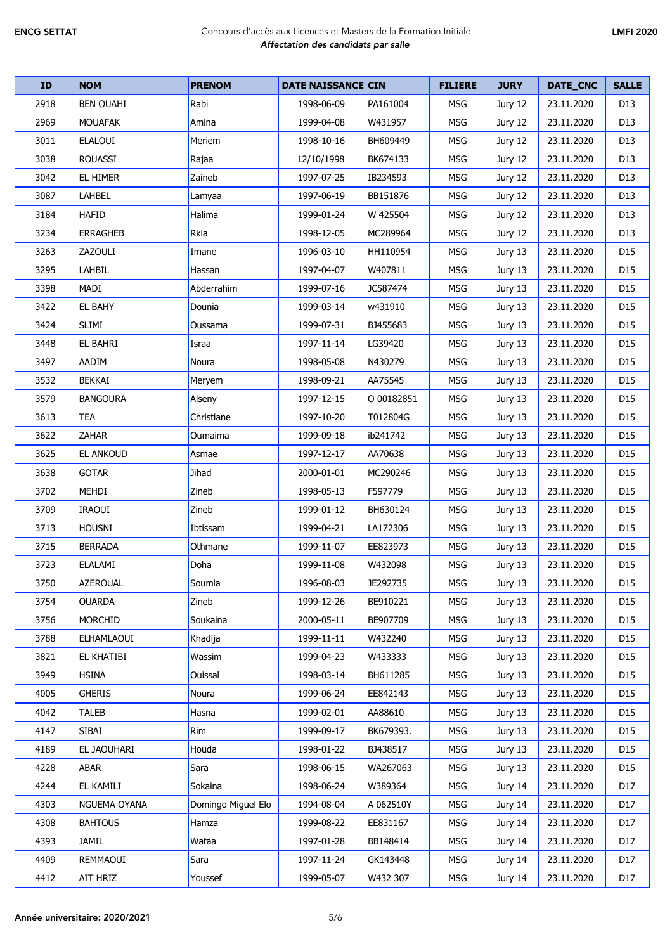| <b>ID</b> | <b>NOM</b>       | <b>PRENOM</b>      | <b>DATE NAISSANCE CIN</b> |            | <b>FILIERE</b> | <b>JURY</b> | DATE_CNC   | <b>SALLE</b>    |
|-----------|------------------|--------------------|---------------------------|------------|----------------|-------------|------------|-----------------|
| 2918      | <b>BEN OUAHI</b> | Rabi               | 1998-06-09                | PA161004   | <b>MSG</b>     | Jury 12     | 23.11.2020 | D <sub>13</sub> |
| 2969      | <b>MOUAFAK</b>   | Amina              | 1999-04-08                | W431957    | <b>MSG</b>     | Jury 12     | 23.11.2020 | D13             |
| 3011      | <b>ELALOUI</b>   | Meriem             | 1998-10-16                | BH609449   | <b>MSG</b>     | Jury 12     | 23.11.2020 | D13             |
| 3038      | <b>ROUASSI</b>   | Rajaa              | 12/10/1998                | BK674133   | <b>MSG</b>     | Jury 12     | 23.11.2020 | D13             |
| 3042      | EL HIMER         | Zaineb             | 1997-07-25                | IB234593   | <b>MSG</b>     | Jury 12     | 23.11.2020 | D13             |
| 3087      | LAHBEL           | Lamyaa             | 1997-06-19                | BB151876   | <b>MSG</b>     | Jury 12     | 23.11.2020 | D13             |
| 3184      | <b>HAFID</b>     | Halima             | 1999-01-24                | W 425504   | <b>MSG</b>     | Jury 12     | 23.11.2020 | D13             |
| 3234      | <b>ERRAGHEB</b>  | Rkia               | 1998-12-05                | MC289964   | MSG            | Jury 12     | 23.11.2020 | D13             |
| 3263      | ZAZOULI          | Imane              | 1996-03-10                | HH110954   | <b>MSG</b>     | Jury 13     | 23.11.2020 | D <sub>15</sub> |
| 3295      | LAHBIL           | Hassan             | 1997-04-07                | W407811    | <b>MSG</b>     | Jury 13     | 23.11.2020 | D <sub>15</sub> |
| 3398      | MADI             | Abderrahim         | 1999-07-16                | JC587474   | <b>MSG</b>     | Jury 13     | 23.11.2020 | D <sub>15</sub> |
| 3422      | EL BAHY          | Dounia             | 1999-03-14                | w431910    | <b>MSG</b>     | Jury 13     | 23.11.2020 | D <sub>15</sub> |
| 3424      | <b>SLIMI</b>     | Oussama            | 1999-07-31                | BJ455683   | <b>MSG</b>     | Jury 13     | 23.11.2020 | D15             |
| 3448      | EL BAHRI         | Israa              | 1997-11-14                | LG39420    | <b>MSG</b>     | Jury 13     | 23.11.2020 | D <sub>15</sub> |
| 3497      | AADIM            | Noura              | 1998-05-08                | N430279    | <b>MSG</b>     | Jury 13     | 23.11.2020 | D15             |
| 3532      | <b>BEKKAI</b>    | Meryem             | 1998-09-21                | AA75545    | <b>MSG</b>     | Jury 13     | 23.11.2020 | D15             |
| 3579      | <b>BANGOURA</b>  | Alseny             | 1997-12-15                | O 00182851 | <b>MSG</b>     | Jury 13     | 23.11.2020 | D <sub>15</sub> |
| 3613      | <b>TEA</b>       | Christiane         | 1997-10-20                | T012804G   | <b>MSG</b>     | Jury 13     | 23.11.2020 | D <sub>15</sub> |
| 3622      | <b>ZAHAR</b>     | Oumaima            | 1999-09-18                | ib241742   | <b>MSG</b>     | Jury 13     | 23.11.2020 | D <sub>15</sub> |
| 3625      | <b>EL ANKOUD</b> | Asmae              | 1997-12-17                | AA70638    | <b>MSG</b>     | Jury 13     | 23.11.2020 | D <sub>15</sub> |
| 3638      | <b>GOTAR</b>     | Jihad              | 2000-01-01                | MC290246   | <b>MSG</b>     | Jury 13     | 23.11.2020 | D <sub>15</sub> |
| 3702      | MEHDI            | Zineb              | 1998-05-13                | F597779    | <b>MSG</b>     | Jury 13     | 23.11.2020 | D <sub>15</sub> |
| 3709      | <b>IRAOUI</b>    | Zineb              | 1999-01-12                | BH630124   | <b>MSG</b>     | Jury 13     | 23.11.2020 | D <sub>15</sub> |
| 3713      | <b>HOUSNI</b>    | Ibtissam           | 1999-04-21                | LA172306   | <b>MSG</b>     | Jury 13     | 23.11.2020 | D15             |
| 3715      | <b>BERRADA</b>   | Othmane            | 1999-11-07                | EE823973   | MSG            | Jury 13     | 23.11.2020 | D <sub>15</sub> |
| 3723      | <b>ELALAMI</b>   | Doha               | 1999-11-08                | W432098    | <b>MSG</b>     | Jury 13     | 23.11.2020 | D15             |
| 3750      | AZEROUAL         | Soumia             | 1996-08-03                | JE292735   | <b>MSG</b>     | Jury 13     | 23.11.2020 | D15             |
| 3754      | <b>OUARDA</b>    | Zineb              | 1999-12-26                | BE910221   | <b>MSG</b>     | Jury 13     | 23.11.2020 | D <sub>15</sub> |
| 3756      | <b>MORCHID</b>   | Soukaina           | 2000-05-11                | BE907709   | MSG            | Jury 13     | 23.11.2020 | D <sub>15</sub> |
| 3788      | ELHAMLAOUI       | Khadija            | 1999-11-11                | W432240    | <b>MSG</b>     | Jury 13     | 23.11.2020 | D <sub>15</sub> |
| 3821      | EL KHATIBI       | Wassim             | 1999-04-23                | W433333    | <b>MSG</b>     | Jury 13     | 23.11.2020 | D15             |
| 3949      | <b>HSINA</b>     | Ouissal            | 1998-03-14                | BH611285   | <b>MSG</b>     | Jury 13     | 23.11.2020 | D15             |
| 4005      | <b>GHERIS</b>    | Noura              | 1999-06-24                | EE842143   | <b>MSG</b>     | Jury 13     | 23.11.2020 | D <sub>15</sub> |
| 4042      | <b>TALEB</b>     | Hasna              | 1999-02-01                | AA88610    | MSG            | Jury 13     | 23.11.2020 | D15             |
| 4147      | SIBAI            | Rim                | 1999-09-17                | BK679393.  | <b>MSG</b>     | Jury 13     | 23.11.2020 | D <sub>15</sub> |
| 4189      | EL JAOUHARI      | Houda              | 1998-01-22                | BJ438517   | <b>MSG</b>     | Jury 13     | 23.11.2020 | D <sub>15</sub> |
| 4228      | ABAR             | Sara               | 1998-06-15                | WA267063   | <b>MSG</b>     | Jury 13     | 23.11.2020 | D15             |
| 4244      | EL KAMILI        | Sokaina            | 1998-06-24                | W389364    | <b>MSG</b>     | Jury 14     | 23.11.2020 | D17             |
| 4303      | NGUEMA OYANA     | Domingo Miguel Elo | 1994-08-04                | A 062510Y  | <b>MSG</b>     | Jury 14     | 23.11.2020 | D17             |
| 4308      | <b>BAHTOUS</b>   | Hamza              | 1999-08-22                | EE831167   | <b>MSG</b>     | Jury 14     | 23.11.2020 | D17             |
| 4393      | <b>JAMIL</b>     | Wafaa              | 1997-01-28                | BB148414   | <b>MSG</b>     | Jury 14     | 23.11.2020 | D <sub>17</sub> |
| 4409      | REMMAOUI         | Sara               | 1997-11-24                | GK143448   | MSG            | Jury 14     | 23.11.2020 | D17             |
| 4412      | AIT HRIZ         | Youssef            | 1999-05-07                | W432 307   | MSG            | Jury 14     | 23.11.2020 | D17             |